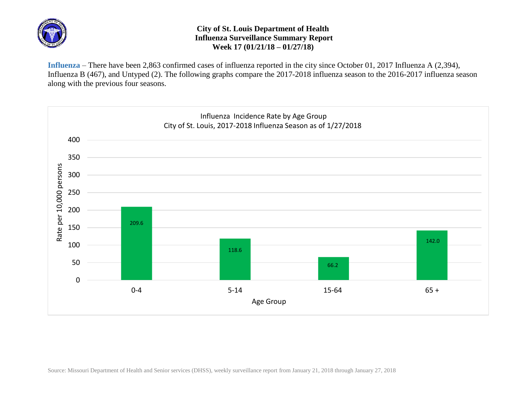

## **City of St. Louis Department of Health Influenza Surveillance Summary Report Week 17 (01/21/18 – 01/27/18)**

**Influenza** – There have been 2,863 confirmed cases of influenza reported in the city since October 01, 2017 Influenza A (2,394), Influenza B (467), and Untyped (2). The following graphs compare the 2017-2018 influenza season to the 2016-2017 influenza season along with the previous four seasons.